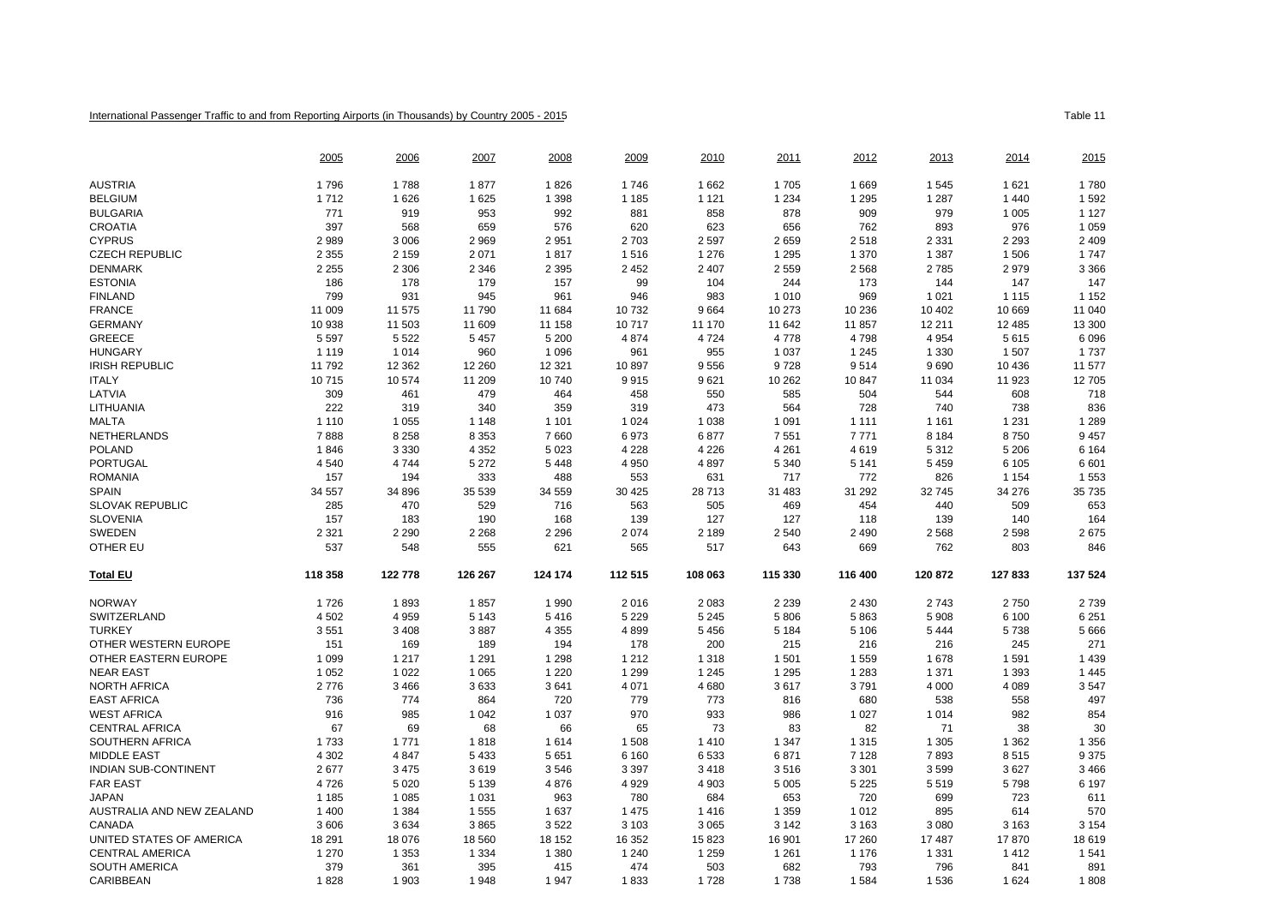## International Passenger Traffic to and from Reporting Airports (in Thousands) by Country 2005 - 2015

|                             | 2005           | 2006           | 2007           | 2008           | 2009        | 2010           | 2011        | 2012           | 2013        | 2014           | 2015        |
|-----------------------------|----------------|----------------|----------------|----------------|-------------|----------------|-------------|----------------|-------------|----------------|-------------|
| <b>AUSTRIA</b>              | 1796           | 1788           | 1877           | 1826           | 1746        | 1662           | 1705        | 1 6 6 9        | 1545        | 1 6 2 1        | 1780        |
| <b>BELGIUM</b>              | 1712           | 1626           | 1625           | 1 3 9 8        | 1 1 8 5     | 1 1 2 1        | 1 2 3 4     | 1 2 9 5        | 1 2 8 7     | 1 4 4 0        | 1592        |
| <b>BULGARIA</b>             | 771            | 919            | 953            | 992            | 881         | 858            | 878         | 909            | 979         | 1 0 0 5        | 1 1 2 7     |
| <b>CROATIA</b>              | 397            | 568            | 659            | 576            | 620         | 623            | 656         | 762            | 893         | 976            | 1 0 5 9     |
| <b>CYPRUS</b>               | 2989           | 3 0 0 6        | 2969           | 2951           | 2 7 0 3     | 2 5 9 7        | 2659        | 2518           | 2 3 3 1     | 2 2 9 3        | 2 4 0 9     |
| <b>CZECH REPUBLIC</b>       | 2 3 5 5        | 2 1 5 9        | 2 0 7 1        | 1817           | 1516        | 1 2 7 6        | 1 2 9 5     | 1 370          | 1 3 8 7     | 1 506          | 1 7 4 7     |
| <b>DENMARK</b>              | 2 2 5 5        | 2 3 0 6        | 2 3 4 6        | 2 3 9 5        | 2 4 5 2     | 2 4 0 7        | 2559        | 2 5 6 8        | 2785        | 2979           | 3 3 6 6     |
| <b>ESTONIA</b>              | 186            | 178            | 179            | 157            | 99          | 104            | 244         | 173            | 144         | 147            | 147         |
| <b>FINLAND</b>              | 799            | 931            | 945            | 961            | 946         | 983            | 1010        | 969            | 1 0 2 1     | 1 1 1 5        | 1 1 5 2     |
| <b>FRANCE</b>               | 11 009         | 11 575         | 11 790         | 11 684         | 10732       | 9664           | 10 273      | 10 236         | 10 402      | 10 669         | 11 040      |
| <b>GERMANY</b>              | 10 938         | 11 503         | 11 609         | 11 158         | 10717       | 11 170         | 11 642      | 11 857         | 12 211      | 12 4 8 5       | 13 300      |
| <b>GREECE</b>               | 5 5 9 7        | 5 5 2 2        | 5 4 5 7        | 5 200          | 4874        | 4 7 2 4        | 4778        | 4798           | 4 9 5 4     | 5615           | 6 0 9 6     |
| <b>HUNGARY</b>              | 1 1 1 9        | 1 0 1 4        | 960            | 1 0 9 6        | 961         | 955            | 1 0 3 7     | 1 2 4 5        | 1 3 3 0     | 1 507          | 1737        |
| <b>IRISH REPUBLIC</b>       | 11792          | 12 3 62        | 12 260         | 12 3 21        | 10897       | 9556           | 9728        | 9514           | 9690        | 10 436         | 11 577      |
| <b>ITALY</b>                | 10715          | 10574          | 11 209         | 10740          | 9915        | 9621           | 10 26 2     | 10 847         | 11 0 34     | 11 923         | 12705       |
| LATVIA                      | 309            | 461            | 479            | 464            | 458         | 550            | 585         | 504            | 544         | 608            | 718         |
| LITHUANIA                   | 222            | 319            | 340            | 359            | 319         | 473            | 564         | 728            | 740         | 738            | 836         |
| <b>MALTA</b>                | 1 1 1 0        | 1 0 5 5        | 1 1 4 8        | 1 1 0 1        | 1 0 2 4     | 1 0 3 8        | 1 0 9 1     | 1 1 1 1        | 1 1 6 1     | 1 2 3 1        | 1 2 8 9     |
| NETHERLANDS                 | 7888           | 8 2 5 8        | 8 3 5 3        | 7660           | 6973        | 6877           | 7551        | 7771           | 8 1 8 4     | 8750           | 9 4 5 7     |
| <b>POLAND</b>               | 1846           | 3 3 3 0        | 4 3 5 2        | 5 0 2 3        | 4 2 2 8     | 4 2 2 6        | 4 2 6 1     | 4619           | 5312        | 5 2 0 6        | 6 1 6 4     |
| <b>PORTUGAL</b>             | 4540           | 4744           | 5 2 7 2        | 5448           | 4 9 5 0     | 4897           | 5 3 4 0     | 5 1 4 1        | 5 4 5 9     | 6 105          | 6601        |
| <b>ROMANIA</b>              | 157            | 194            | 333            | 488            | 553         | 631            | 717         | 772            | 826         | 1 1 5 4        | 1553        |
| <b>SPAIN</b>                | 34 557         | 34 896         | 35 539         | 34 559         | 30 4 25     | 28713          | 31 483      | 31 29 2        | 32745       | 34 276         | 35 735      |
| <b>SLOVAK REPUBLIC</b>      | 285            | 470            | 529            | 716            | 563         | 505            | 469         | 454            | 440         | 509            | 653         |
| <b>SLOVENIA</b>             |                | 183            | 190            | 168            | 139         | 127            | 127         | 118            | 139         | 140            | 164         |
|                             | 157            |                |                |                |             |                |             |                |             |                |             |
| SWEDEN<br>OTHER EU          | 2 3 2 1<br>537 | 2 2 9 0<br>548 | 2 2 6 8<br>555 | 2 2 9 6<br>621 | 2074<br>565 | 2 1 8 9<br>517 | 2540<br>643 | 2 4 9 0<br>669 | 2568<br>762 | 2 5 9 8<br>803 | 2675<br>846 |
|                             |                |                |                |                |             |                |             |                |             |                |             |
| <b>Total EU</b>             | 118 358        | 122 778        | 126 267        | 124 174        | 112 515     | 108 063        | 115 330     | 116 400        | 120 872     | 127 833        | 137 524     |
| <b>NORWAY</b>               | 1726           | 1893           | 1857           | 1990           | 2016        | 2 0 8 3        | 2 2 3 9     | 2 4 3 0        | 2743        | 2750           | 2739        |
| SWITZERLAND                 | 4 5 0 2        | 4 9 5 9        | 5 1 4 3        | 5416           | 5 2 2 9     | 5 2 4 5        | 5806        | 5863           | 5 9 0 8     | 6 100          | 6 2 5 1     |
| <b>TURKEY</b>               | 3551           | 3 4 0 8        | 3887           | 4 3 5 5        | 4899        | 5 4 5 6        | 5 1 8 4     | 5 1 0 6        | 5444        | 5738           | 5 6 6 6     |
| OTHER WESTERN EUROPE        | 151            | 169            | 189            | 194            | 178         | 200            | 215         | 216            | 216         | 245            | 271         |
| OTHER EASTERN EUROPE        | 1 0 9 9        | 1 2 1 7        | 1 2 9 1        | 1 2 9 8        | 1 2 1 2     | 1 3 1 8        | 1501        | 1559           | 1678        | 1 5 9 1        | 1 4 3 9     |
| <b>NEAR EAST</b>            | 1 0 5 2        | 1 0 2 2        | 1 0 6 5        | 1 2 2 0        | 1 2 9 9     | 1 2 4 5        | 1 2 9 5     | 1 2 8 3        | 1 3 7 1     | 1 3 9 3        | 1 4 4 5     |
| <b>NORTH AFRICA</b>         | 2776           | 3 4 6 6        | 3633           | 3641           | 4 0 7 1     | 4680           | 3617        | 3791           | 4 0 0 0     | 4 0 8 9        | 3547        |
| <b>EAST AFRICA</b>          | 736            | 774            | 864            | 720            | 779         | 773            | 816         | 680            | 538         | 558            | 497         |
| <b>WEST AFRICA</b>          | 916            | 985            | 1 0 4 2        | 1 0 3 7        | 970         | 933            | 986         | 1 0 2 7        | 1014        | 982            | 854         |
| <b>CENTRAL AFRICA</b>       | 67             | 69             | 68             | 66             | 65          | 73             | 83          | 82             | 71          | 38             | 30          |
| SOUTHERN AFRICA             | 1733           | 1771           | 1818           | 1614           | 1508        | 1410           | 1 3 4 7     | 1 3 1 5        | 1 3 0 5     | 1 3 6 2        | 1 3 5 6     |
| <b>MIDDLE EAST</b>          | 4 3 0 2        | 4847           | 5 4 3 3        | 5 6 5 1        | 6 1 6 0     | 6533           | 6871        | 7 1 2 8        | 7893        | 8515           | 9 3 7 5     |
| <b>INDIAN SUB-CONTINENT</b> | 2677           | 3 4 7 5        | 3619           | 3546           | 3 3 9 7     | 3418           | 3516        | 3 3 0 1        | 3599        | 3627           | 3 4 6 6     |
| <b>FAR EAST</b>             | 4726           | 5 0 2 0        | 5 1 3 9        | 4876           | 4929        | 4 9 0 3        | 5 0 0 5     | 5 2 2 5        | 5519        | 5798           | 6 1 9 7     |
| <b>JAPAN</b>                | 1 1 8 5        | 1 0 8 5        | 1 0 3 1        | 963            | 780         | 684            | 653         | 720            | 699         | 723            | 611         |
| AUSTRALIA AND NEW ZEALAND   | 1 4 0 0        | 1 3 8 4        | 1 5 5 5        | 1 637          | 1 4 7 5     | 1416           | 1 3 5 9     | 1 0 1 2        | 895         | 614            | 570         |
| <b>CANADA</b>               | 3606           | 3634           | 3865           | 3522           | 3 1 0 3     | 3 0 6 5        | 3 1 4 2     | 3 1 6 3        | 3 0 8 0     | 3 1 6 3        | 3 1 5 4     |
| UNITED STATES OF AMERICA    | 18 291         | 18 0 76        | 18 560         | 18 152         | 16 352      | 15823          | 16 901      | 17 260         | 17487       | 17870          | 18619       |
| <b>CENTRAL AMERICA</b>      | 1 2 7 0        | 1 3 5 3        | 1 3 3 4        | 1 3 8 0        | 1 2 4 0     | 1 2 5 9        | 1 2 6 1     | 1 1 7 6        | 1 3 3 1     | 1412           | 1541        |
| <b>SOUTH AMERICA</b>        | 379            | 361            | 395            | 415            | 474         | 503            | 682         | 793            | 796         | 841            | 891         |
| CARIBBEAN                   | 1828           | 1 903          | 1 948          | 1 947          | 1833        | 1728           | 1 7 3 8     | 1584           | 1 5 3 6     | 1624           | 1808        |
|                             |                |                |                |                |             |                |             |                |             |                |             |